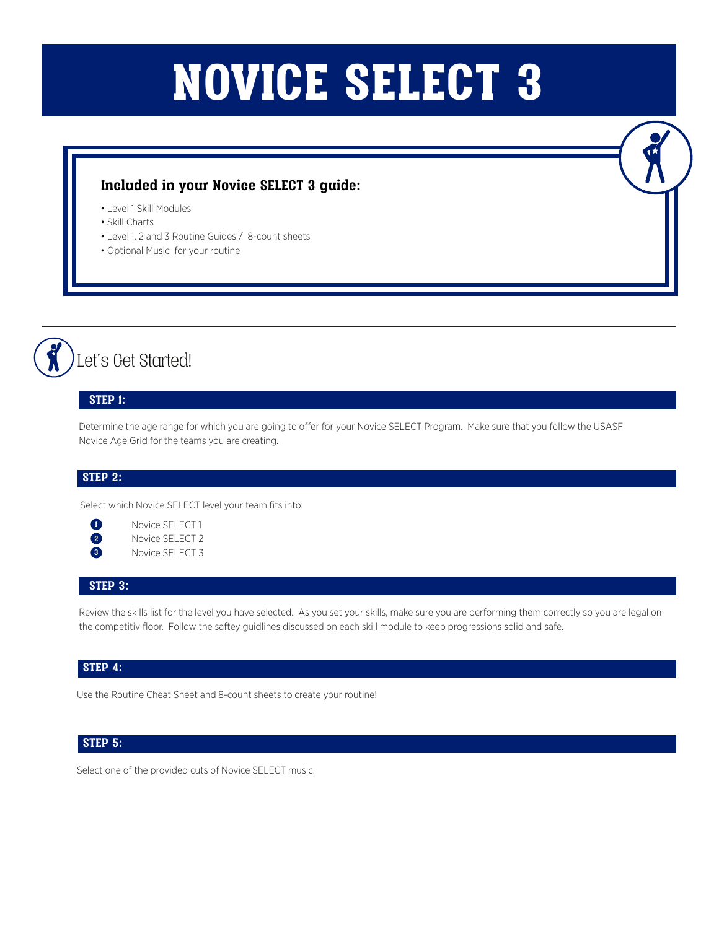# NOVICE SELECT 3

### **Included in your Novice SELECT 3 guide:**

- Level 1 Skill Modules
- Skill Charts
- Level 1, 2 and 3 Routine Guides / 8-count sheets
- Optional Music for your routine

Let's Get Started!

#### **STEP 1:**

Determine the age range for which you are going to offer for your Novice SELECT Program. Make sure that you follow the USASF Novice Age Grid for the teams you are creating.

#### **STEP 2:**

Select which Novice SELECT level your team fits into:

| $\left( 2\right)$       |  |
|-------------------------|--|
| $\overline{\mathbf{3}}$ |  |

**1** Novice SELECT 1 Novice SELECT 2 Novice SELECT 3

#### **STEP 3:**

Review the skills list for the level you have selected. As you set your skills, make sure you are performing them correctly so you are legal on the competitiv floor. Follow the saftey guidlines discussed on each skill module to keep progressions solid and safe.

#### **STEP 4:**

Use the Routine Cheat Sheet and 8-count sheets to create your routine!

#### **STEP 5:**

Select one of the provided cuts of Novice SELECT music.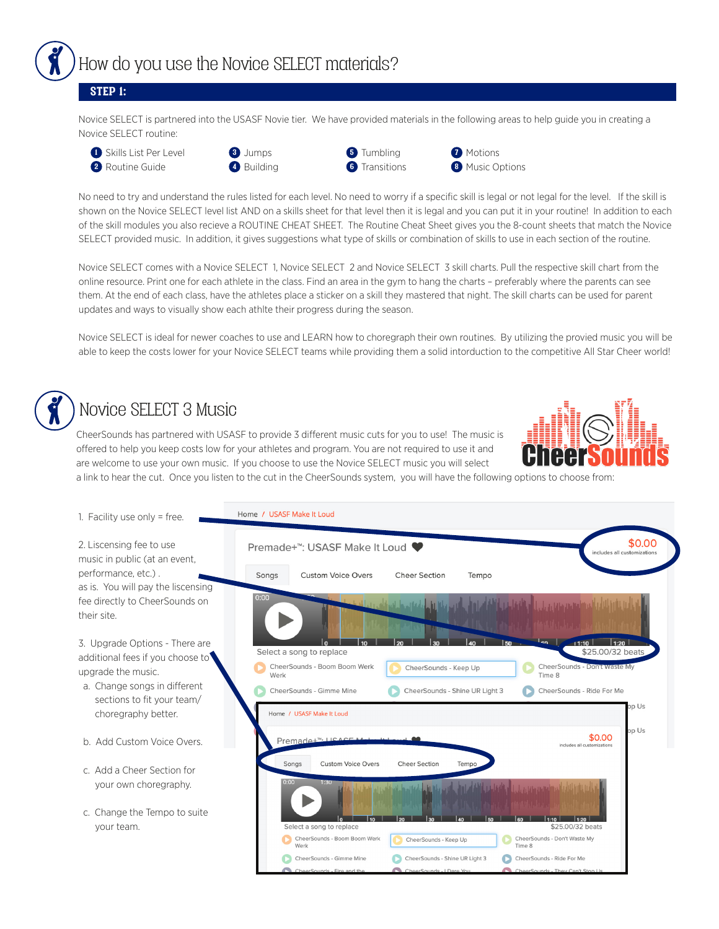

#### **STEP 1:**

Novice SELECT is partnered into the USASF Novie tier. We have provided materials in the following areas to help guide you in creating a Novice SELECT routine:









**7** Motions **8** Music Options

No need to try and understand the rules listed for each level. No need to worry if a specific skill is legal or not legal for the level. If the skill is shown on the Novice SELECT level list AND on a skills sheet for that level then it is legal and you can put it in your routine! In addition to each of the skill modules you also recieve a ROUTINE CHEAT SHEET. The Routine Cheat Sheet gives you the 8-count sheets that match the Novice SELECT provided music. In addition, it gives suggestions what type of skills or combination of skills to use in each section of the routine.

Novice SELECT comes with a Novice SELECT 1, Novice SELECT 2 and Novice SELECT 3 skill charts. Pull the respective skill chart from the online resource. Print one for each athlete in the class. Find an area in the gym to hang the charts – preferably where the parents can see them. At the end of each class, have the athletes place a sticker on a skill they mastered that night. The skill charts can be used for parent updates and ways to visually show each athlte their progress during the season.

Novice SELECT is ideal for newer coaches to use and LEARN how to choregraph their own routines. By utilizing the provied music you will be able to keep the costs lower for your Novice SELECT teams while providing them a solid intorduction to the competitive All Star Cheer world!

# Novice SELECT 3 Music

CheerSounds has partnered with USASF to provide 3 different music cuts for you to use! The music is offered to help you keep costs low for your athletes and program. You are not required to use it and are welcome to use your own music. If you choose to use the Novice SELECT music you will select



a link to hear the cut. Once you listen to the cut in the CheerSounds system, you will have the following options to choose from:

| 1. Facility use only = free.                                                      | Home / USASF Make It Loud                                                                                                                                    |
|-----------------------------------------------------------------------------------|--------------------------------------------------------------------------------------------------------------------------------------------------------------|
| 2. Liscensing fee to use<br>music in public (at an event,                         | \$0.00<br>Premade+ <sup>™</sup> : USASF Make It Loud<br>includes all customizations                                                                          |
| performance, etc.).<br>as is. You will pay the liscensing                         | <b>Custom Voice Overs</b><br>Songs<br><b>Cheer Section</b><br>Tempo                                                                                          |
| fee directly to CheerSounds on<br>their site.                                     | 0:00<br>al Librardia de Jacobia                                                                                                                              |
| 3. Upgrade Options - There are<br>additional fees if you choose to                | $\mathsf{I}_{\mathsf{en}}$<br>$-11:10$<br>1:20<br><b>I</b> <sub>50</sub><br>\$25.00/32 beats<br>Select a song to replace                                     |
| upgrade the music.                                                                | CheerSounds - Boom Boom Werk<br>CheerSounds - Don't waste My<br>CheerSounds - Keep Up<br>Time 8<br>Werk                                                      |
| a. Change songs in different<br>sections to fit your team/<br>choregraphy better. | CheerSounds - Gimme Mine<br>CheerSounds - Shine UR Light 3<br>CheerSounds - Ride For Me<br>pp Us<br>Home / USASF Make It Loud                                |
|                                                                                   | op Us<br>\$0.00<br>Premade+ <sup>™</sup> · LISACE                                                                                                            |
| b. Add Custom Voice Overs.                                                        | includes all customizations                                                                                                                                  |
| c. Add a Cheer Section for                                                        | <b>Custom Voice Overs</b><br>Songs<br><b>Cheer Section</b><br>Tempo                                                                                          |
| your own choregraphy.                                                             | 0:00<br>1:30<br>in thill, m <sup>il</sup> l, c. J., an tartan a matematic scalar at this in this trades the<br>the art of the Abbel June of the Abbel Indian |
| c. Change the Tempo to suite<br>your team.                                        | $\overline{\phantom{a}}$<br>$\overline{\phantom{a}}$ $\overline{\phantom{a}}$<br>Select a song to replace<br>\$25.00/32 beats                                |
|                                                                                   | CheerSounds - Boom Boom Werk<br>CheerSounds - Don't Waste My<br>CheerSounds - Keep Up<br>Werk<br>Time 8                                                      |
|                                                                                   | CheerSounds - Shine UR Light 3<br>CheerSounds - Gimme Mine<br>CheerSounds - Ride For Me                                                                      |
|                                                                                   | CheerSounds - They Can't Stop Us<br>CheerSounds - I Dare You<br>CheerSounds - Fire and the                                                                   |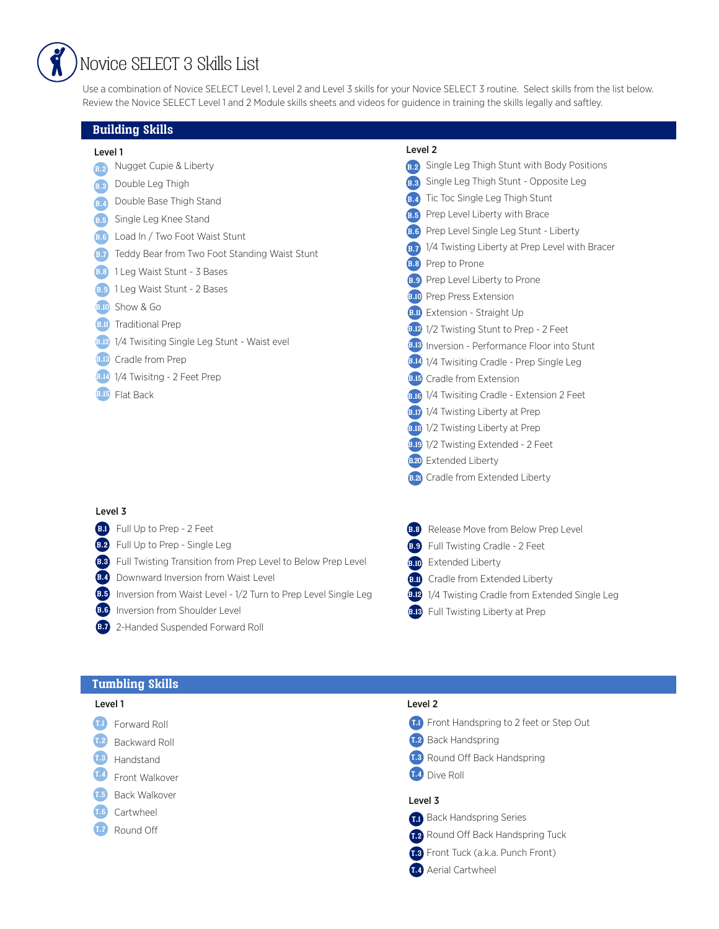## Novice SELECT 3 Skills List

Use a combination of Novice SELECT Level 1, Level 2 and Level 3 skills for your Novice SELECT 3 routine. Select skills from the list below. Review the Novice SELECT Level 1 and 2 Module skills sheets and videos for guidence in training the skills legally and saftley.

#### **Building Skills**

- Level 1 Level 2
- **B.2** Nugget Cupie & Liberty
- **B.3** Double Leg Thigh
- Double Base Thigh Stand **B.4**
- **B.5** Single Leg Knee Stand
- Load In / Two Foot Waist Stunt **B.6**
- **B.7** Teddy Bear from Two Foot Standing Waist Stunt
- 1 Leg Waist Stunt 3 Bases **B.8**
- 1 Leg Waist Stunt 2 Bases **B.9**
- **B.10** Show & Go
- **B.11** Traditional Prep
- **B.12** 1/4 Twisiting Single Leg Stunt Waist evel
- **B.18** Cradle from Prep
- **B.14** 1/4 Twisitng 2 Feet Prep
- **B.15** Flat Back

#### Level 3

- Full Up to Prep 2 Feet **B.1**
- **B.2** Full Up to Prep Single Leg
- **B.3** Full Twisting Transition from Prep Level to Below Prep Level
- **B.4** Downward Inversion from Waist Level
- **B.5** Inversion from Waist Level 1/2 Turn to Prep Level Single Leg
- **B.6** Inversion from Shoulder Level
- 2-Handed Suspended Forward Roll **B.7**

| B.2 | Single Leg Thigh Stunt with Body Positions          |
|-----|-----------------------------------------------------|
|     | <b>B.3</b> Single Leg Thigh Stunt - Opposite Leg    |
|     | <b>B.4</b> Tic Toc Single Leg Thigh Stunt           |
|     | <b>B.5</b> Prep Level Liberty with Brace            |
|     | <b>B.6</b> Prep Level Single Leg Stunt - Liberty    |
|     | B.7 1/4 Twisting Liberty at Prep Level with Bracer  |
|     | <b>B.8</b> Prep to Prone                            |
|     | <b>B.9</b> Prep Level Liberty to Prone              |
|     | <b>B.10</b> Prep Press Extension                    |
|     | <b>B.II</b> Extension - Straight Up                 |
|     | <b>B.12</b> 1/2 Twisting Stunt to Prep - 2 Feet     |
|     | <b>B.B</b> Inversion - Performance Floor into Stunt |
|     | <b>8.14 1/4 Twisiting Cradle - Prep Single Leg</b>  |
|     | <b>B.15</b> Cradle from Extension                   |
|     | <b>B.G.</b> 1/4 Twisiting Cradle - Extension 2 Feet |
|     | <b>B.D.</b> 1/4 Twisting Liberty at Prep            |
|     | <b>B.18</b> 1/2 Twisting Liberty at Prep            |
|     | <b>B.D.</b> 1/2 Twisting Extended - 2 Feet          |
|     | <b>B.20</b> Extended Liberty                        |

- **B.21** Cradle from Extended Liberty
- **B.8** Release Move from Below Prep Level
- **B.9** Full Twisting Cradle 2 Feet
- **B.10** Extended Liberty
- **B.11** Cradle from Extended Liberty
- **B.12** 1/4 Twisting Cradle from Extended Single Leg
- **B.13** Full Twisting Liberty at Prep

#### **Tumbling Skills**

- **T.1** Forward Roll
- Backward Roll **T.2**
- Handstand **T.3**
- Front Walkover **T.4**
- Back Walkover **T.5**
- Cartwheel **T.6**
- Round Off **T.7**

#### Level 1 Level 2

- Front Handspring to 2 feet or Step Out **T.1**
- **T.2** Back Handspring
- 1.3 Round Off Back Handspring
- **T.4** Dive Roll

#### Level 3

- Back Handspring Series **T.1**
- **7.2** Round Off Back Handspring Tuck
- Front Tuck (a.k.a. Punch Front) **T.3**
- Aerial Cartwheel **T.4**